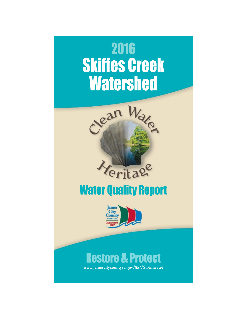



# **Restore & Protect**

www.jamescitycountyva.gov/857/Stormwater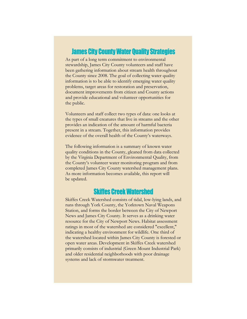### **James City County Water Quality Strategies**

As part of a long term commitment to environmental stewardship, James City County volunteers and staff have been gathering information about stream health throughout the County since 2008. The goal of collecting water quality information is to be able to identify emerging water quality problems, target areas for restoration and preservation, document improvements from citizen and County actions and provide educational and volunteer opportunities for the public.

Volunteers and staff collect two types of data: one looks at the types of small creatures that live in streams and the other provides an indication of the amount of harmful bacteria present in a stream. Together, this information provides evidence of the overall health of the County's waterways.

The following information is a summary of known water quality conditions in the County, gleaned from data collected by the Virginia Department of Environmental Quality, from the County's volunteer water monitoring program and from completed James City County watershed management plans. As more information becomes available, this report will be updated.

## **Skiffes Creek Watershed**

Skiffes Creek Watershed consists of tidal, low-lying lands, and runs through York County, the Yorktown Naval Weapons Station, and forms the border between the City of Newport News and James City County. It serves as a drinking water resource for the City of Newport News. Habitat assessment ratings in most of the watershed are considered "excellent," indicating a healthy environment for wildlife. One third of the watershed located within James City County is forested or open water areas. Development in Skiffes Creek watershed primarily consists of industrial (Green Mount Industrial Park) and older residential neighborhoods with poor drainage systems and lack of stormwater treatment.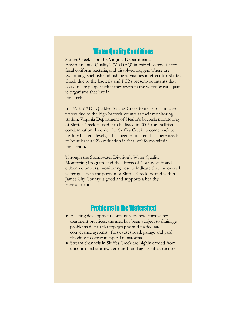## **Water Quality Conditions**

Skiffes Creek is on the Virginia Department of Environmental Quality's (VADEQ) impaired waters list for fecal coliform bacteria, and dissolved oxygen. There are swimming, shellfish and fishing advisories in effect for Skiffes Creek due to the bacteria and PCBs present-pollutants that could make people sick if they swim in the water or eat aquatic organisms that live in the creek.

In 1998, VADEQ added Skiffes Creek to its list of impaired waters due to the high bacteria counts at their monitoring station. Virginia Department of Health's bacteria monitoring of Skiffes Creek caused it to be listed in 2005 for shellfish condemnation. In order for Skiffes Creek to come back to healthy bacteria levels, it has been estimated that there needs to be at least a 92% reduction in fecal coliforms within the stream.

Through the Stormwater Division's Water Quality Monitoring Program, and the efforts of County staff and citizen volunteers, monitoring results indicate that the overall water quality in the portion of Skiffes Creek located within James City County is good and supports a healthy environment.

## **Problems in the Watershed**

- Existing development contains very few stormwater treatment practices; the area has been subject to drainage problems due to flat topography and inadequate conveyance systems. This causes road, garage and yard flooding to occur in typical rainstorms.
- Stream channels in Skiffes Creek are highly eroded from uncontrolled stormwater runoff and aging infrastructure.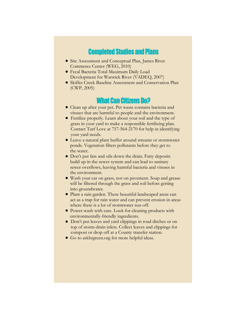### **Completed Studies and Plans**

- Site Assessment and Conceptual Plan, James River Commerce Center (WEG, 2010)
- Fecal Bacteria Total Maximum Daily Load Development for Warwick River (VADEQ, 2007)
- Skiffes Creek Baseline Assessment and Conservation Plan (CWP, 2005)

## **What Can Citizens Do?**

- Clean up after your pet. Pet waste contains bacteria and viruses that are harmful to people and the environment.
- Fertilize properly. Learn about your soil and the type of grass in your yard to make a responsible fertilizing plan. Contact Turf Love at 757-564-2170 for help in identifying your yard needs.
- Leave a natural plant buffer around streams or stormwater ponds. Vegetation filters pollutants before they get to the water.
- Don't put fats and oils down the drain. Fatty deposits build up in the sewer system and can lead to sanitary sewer overflows, leaving harmful bacteria and viruses in the environment.
- Wash your car on grass, not on pavement. Soap and grease will be filtered through the grass and soil before getting into groundwater.
- Plant a rain garden. These beautiful landscaped areas can act as a trap for rain water and can prevent erosion in areas where there is a lot of stormwater run-off.
- Power-wash with care. Look for cleaning products with environmentally-friendly ingredients.
- Don't put leaves and yard clippings in road ditches or on top of storm-drain inlets. Collect leaves and clippings for compost or drop off at a County transfer station.
- Go to askhrgreen.org for more helpful ideas.